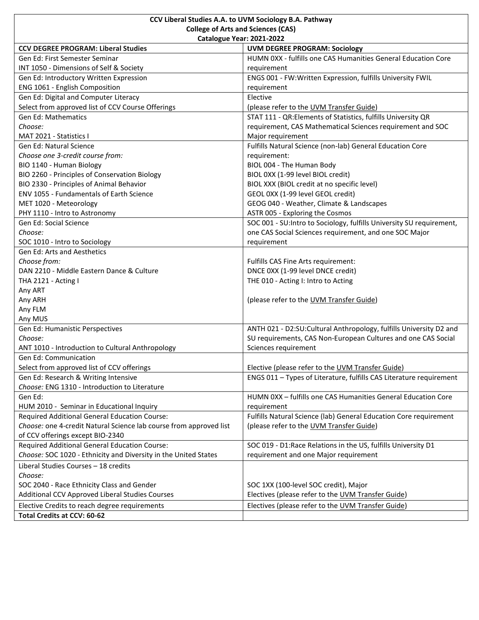|                                                                    | CCV Liberal Studies A.A. to UVM Sociology B.A. Pathway                |
|--------------------------------------------------------------------|-----------------------------------------------------------------------|
| <b>College of Arts and Sciences (CAS)</b>                          |                                                                       |
| Catalogue Year: 2021-2022                                          |                                                                       |
| <b>CCV DEGREE PROGRAM: Liberal Studies</b>                         | <b>UVM DEGREE PROGRAM: Sociology</b>                                  |
| Gen Ed: First Semester Seminar                                     | HUMN 0XX - fulfills one CAS Humanities General Education Core         |
| INT 1050 - Dimensions of Self & Society                            | requirement                                                           |
| Gen Ed: Introductory Written Expression                            | ENGS 001 - FW:Written Expression, fulfills University FWIL            |
| ENG 1061 - English Composition                                     | requirement                                                           |
| Gen Ed: Digital and Computer Literacy                              | Elective                                                              |
| Select from approved list of CCV Course Offerings                  | (please refer to the UVM Transfer Guide)                              |
| <b>Gen Ed: Mathematics</b>                                         | STAT 111 - QR: Elements of Statistics, fulfills University QR         |
| Choose:                                                            | requirement, CAS Mathematical Sciences requirement and SOC            |
| MAT 2021 - Statistics I                                            | Major requirement                                                     |
| <b>Gen Ed: Natural Science</b>                                     | Fulfills Natural Science (non-lab) General Education Core             |
| Choose one 3-credit course from:                                   | requirement:                                                          |
| BIO 1140 - Human Biology                                           | BIOL 004 - The Human Body                                             |
| BIO 2260 - Principles of Conservation Biology                      | BIOL 0XX (1-99 level BIOL credit)                                     |
| BIO 2330 - Principles of Animal Behavior                           | BIOL XXX (BIOL credit at no specific level)                           |
| ENV 1055 - Fundamentals of Earth Science                           | GEOL 0XX (1-99 level GEOL credit)                                     |
| MET 1020 - Meteorology                                             | GEOG 040 - Weather, Climate & Landscapes                              |
| PHY 1110 - Intro to Astronomy                                      | ASTR 005 - Exploring the Cosmos                                       |
| Gen Ed: Social Science                                             | SOC 001 - SU: Intro to Sociology, fulfills University SU requirement, |
| Choose:                                                            | one CAS Social Sciences requirement, and one SOC Major                |
| SOC 1010 - Intro to Sociology                                      | requirement                                                           |
| Gen Ed: Arts and Aesthetics                                        |                                                                       |
| Choose from:                                                       | Fulfills CAS Fine Arts requirement:                                   |
| DAN 2210 - Middle Eastern Dance & Culture                          | DNCE 0XX (1-99 level DNCE credit)                                     |
| THA 2121 - Acting I                                                | THE 010 - Acting I: Intro to Acting                                   |
| Any ART                                                            |                                                                       |
| Any ARH                                                            | (please refer to the UVM Transfer Guide)                              |
| Any FLM                                                            |                                                                       |
| Any MUS                                                            |                                                                       |
| Gen Ed: Humanistic Perspectives                                    | ANTH 021 - D2:SU:Cultural Anthropology, fulfills University D2 and    |
| Choose:                                                            | SU requirements, CAS Non-European Cultures and one CAS Social         |
| ANT 1010 - Introduction to Cultural Anthropology                   | Sciences requirement                                                  |
| <b>Gen Ed: Communication</b>                                       |                                                                       |
| Select from approved list of CCV offerings                         | Elective (please refer to the UVM Transfer Guide)                     |
| Gen Ed: Research & Writing Intensive                               | ENGS 011 - Types of Literature, fulfills CAS Literature requirement   |
| Choose: ENG 1310 - Introduction to Literature                      |                                                                       |
| Gen Ed:                                                            | HUMN 0XX - fulfills one CAS Humanities General Education Core         |
| HUM 2010 - Seminar in Educational Inquiry                          | requirement                                                           |
| <b>Required Additional General Education Course:</b>               | Fulfills Natural Science (lab) General Education Core requirement     |
| Choose: one 4-credit Natural Science lab course from approved list | (please refer to the UVM Transfer Guide)                              |
| of CCV offerings except BIO-2340                                   |                                                                       |
| Required Additional General Education Course:                      | SOC 019 - D1: Race Relations in the US, fulfills University D1        |
| Choose: SOC 1020 - Ethnicity and Diversity in the United States    | requirement and one Major requirement                                 |
| Liberal Studies Courses - 18 credits                               |                                                                       |
| Choose:                                                            |                                                                       |
| SOC 2040 - Race Ethnicity Class and Gender                         | SOC 1XX (100-level SOC credit), Major                                 |
| Additional CCV Approved Liberal Studies Courses                    | Electives (please refer to the UVM Transfer Guide)                    |
| Elective Credits to reach degree requirements                      | Electives (please refer to the UVM Transfer Guide)                    |
| Total Credits at CCV: 60-62                                        |                                                                       |